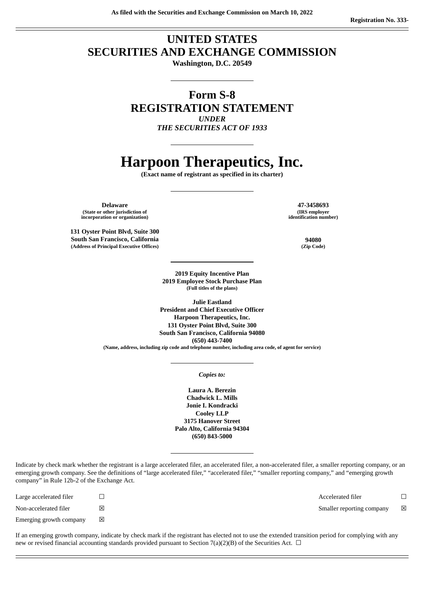# **UNITED STATES SECURITIES AND EXCHANGE COMMISSION**

**Washington, D.C. 20549**

**Form S-8 REGISTRATION STATEMENT** *UNDER*

*THE SECURITIES ACT OF 1933*

# **Harpoon Therapeutics, Inc.**

**(Exact name of registrant as specified in its charter)**

**Delaware 47-3458693 (State or other jurisdiction of incorporation or organization)**

**131 Oyster Point Blvd, Suite 300 South San Francisco, California 94080 (Address of Principal Executive Offices) (Zip Code)**

**(IRS employer identification number)**

**2019 Equity Incentive Plan 2019 Employee Stock Purchase Plan (Full titles of the plans)**

**Julie Eastland President and Chief Executive Officer Harpoon Therapeutics, Inc. 131 Oyster Point Blvd, Suite 300 South San Francisco, California 94080 (650) 443-7400 (Name, address, including zip code and telephone number, including area code, of agent for service)**

*Copies to:*

**Laura A. Berezin Chadwick L. Mills Jonie I. Kondracki Cooley LLP 3175 Hanover Street Palo Alto, California 94304 (650) 843-5000**

Indicate by check mark whether the registrant is a large accelerated filer, an accelerated filer, a non-accelerated filer, a smaller reporting company, or an emerging growth company. See the definitions of "large accelerated filer," "accelerated filer," "smaller reporting company," and "emerging growth company" in Rule 12b-2 of the Exchange Act.

Large accelerated filer ☐ Accelerated filer ☐ Non-accelerated filer  $□$  ⊠ smaller reporting company  $□$  Smaller reporting company  $□$ Emerging growth company  $\boxtimes$ 

If an emerging growth company, indicate by check mark if the registrant has elected not to use the extended transition period for complying with any new or revised financial accounting standards provided pursuant to Section 7(a)(2)(B) of the Securities Act.  $\Box$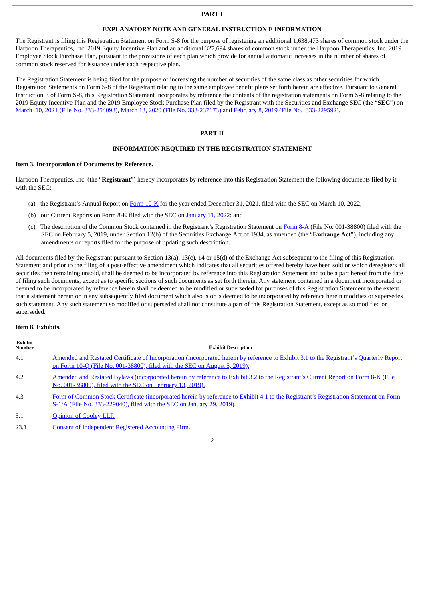### **PART I**

# **EXPLANATORY NOTE AND GENERAL INSTRUCTION E INFORMATION**

The Registrant is filing this Registration Statement on Form S-8 for the purpose of registering an additional 1,638,473 shares of common stock under the Harpoon Therapeutics, Inc. 2019 Equity Incentive Plan and an additional 327,694 shares of common stock under the Harpoon Therapeutics, Inc. 2019 Employee Stock Purchase Plan, pursuant to the provisions of each plan which provide for annual automatic increases in the number of shares of common stock reserved for issuance under each respective plan.

The Registration Statement is being filed for the purpose of increasing the number of securities of the same class as other securities for which Registration Statements on Form S-8 of the Registrant relating to the same employee benefit plans set forth herein are effective. Pursuant to General Instruction E of Form S-8, this Registration Statement incorporates by reference the contents of the registration statements on Form S-8 relating to the 2019 Equity Incentive Plan and the 2019 Employee Stock Purchase Plan filed by the Registrant with the Securities and Exchange SEC (the "**SEC**") on March 10, 2021 (File No. [333-254098\),](http://www.sec.gov/Archives/edgar/data/1708493/000119312521076381/d152807ds8.htm) March 13, 2020 (File No. [333-237173\)](http://www.sec.gov/Archives/edgar/data/1708493/000119312520072999/d869306ds8.htm) and February 8, 2019 (File No. [333-229592\).](http://www.sec.gov/Archives/edgar/data/1708493/000119312519032459/d703026ds8.htm)

# **PART II**

# **INFORMATION REQUIRED IN THE REGISTRATION STATEMENT**

### **Item 3. Incorporation of Documents by Reference.**

Harpoon Therapeutics, Inc. (the "**Registrant**") hereby incorporates by reference into this Registration Statement the following documents filed by it with the SEC:

- (a) the Registrant's Annual Report on [Form](http://www.sec.gov/ix?doc=/Archives/edgar/data/0001708493/000095017022003375/harp-20211231.htm) 10-K for the year ended December 31, 2021, filed with the SEC on March 10, 2022;
- (b) our Current Reports on Form 8-K filed with the SEC on [January](http://www.sec.gov/ix?doc=/Archives/edgar/data/1708493/000119312522006226/d204562d8k.htm) 11, 2022; and
- (c) The description of the Common Stock contained in the Registrant's Registration Statement on [Form](http://www.sec.gov/Archives/edgar/data/1708493/000119312519028374/d679479d8a12b.htm) 8-A (File No. 001-38800) filed with the SEC on February 5, 2019, under Section 12(b) of the Securities Exchange Act of 1934, as amended (the "**Exchange Act**"), including any amendments or reports filed for the purpose of updating such description.

All documents filed by the Registrant pursuant to Section 13(a), 13(c), 14 or 15(d) of the Exchange Act subsequent to the filing of this Registration Statement and prior to the filing of a post-effective amendment which indicates that all securities offered hereby have been sold or which deregisters all securities then remaining unsold, shall be deemed to be incorporated by reference into this Registration Statement and to be a part hereof from the date of filing such documents, except as to specific sections of such documents as set forth therein. Any statement contained in a document incorporated or deemed to be incorporated by reference herein shall be deemed to be modified or superseded for purposes of this Registration Statement to the extent that a statement herein or in any subsequently filed document which also is or is deemed to be incorporated by reference herein modifies or supersedes such statement. Any such statement so modified or superseded shall not constitute a part of this Registration Statement, except as so modified or superseded.

### **Item 8. Exhibits.**

| <b>Exhibit</b><br>Number | <b>Exhibit Description</b>                                                                                                                                                                                           |  |  |  |  |  |
|--------------------------|----------------------------------------------------------------------------------------------------------------------------------------------------------------------------------------------------------------------|--|--|--|--|--|
| 4.1                      | Amended and Restated Certificate of Incorporation (incorporated herein by reference to Exhibit 3.1 to the Registrant's Quarterly Report<br>on Form 10-Q (File No. 001-38800), filed with the SEC on August 5, 2019). |  |  |  |  |  |
| 4.2                      | Amended and Restated Bylaws (incorporated herein by reference to Exhibit 3.2 to the Registrant's Current Report on Form 8-K (File<br>No. 001-38800), filed with the SEC on February 13, 2019).                       |  |  |  |  |  |
| 4.3                      | Form of Common Stock Certificate (incorporated herein by reference to Exhibit 4.1 to the Registrant's Registration Statement on Form<br>S-1/A (File No. 333-229040), filed with the SEC on January 29, 2019).        |  |  |  |  |  |
| 5.1                      | <b>Opinion of Cooley LLP.</b>                                                                                                                                                                                        |  |  |  |  |  |
| 23.1                     | Consent of Independent Registered Accounting Firm.                                                                                                                                                                   |  |  |  |  |  |
|                          |                                                                                                                                                                                                                      |  |  |  |  |  |

2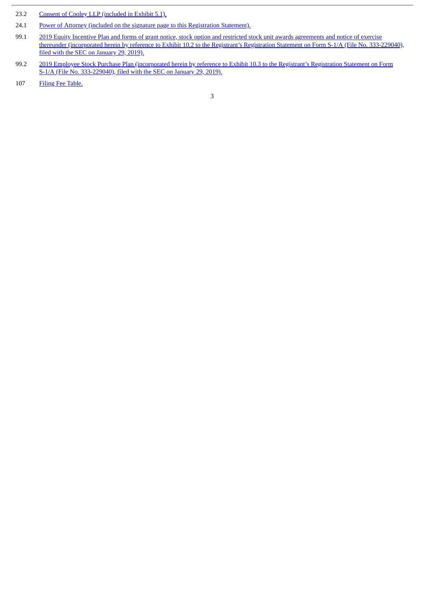23.2 Consent of Cooley LLP [\(included](#page-4-0) in Exhibit 5.1).

24.1 Power of Attorney (included on the signature page to this [Registration](#page-3-0) Statement).

- 99.1 2019 Equity Incentive Plan and forms of grant notice, stock option and restricted stock unit awards agreements and notice of exercise thereunder (incorporated herein by reference to Exhibit 10.2 to the Registrant's Registration Statement on Form S-1/A (File No. [333-229040\),](http://www.sec.gov/Archives/edgar/data/1708493/000119312519019639/d630873dex102.htm) filed with the SEC on January 29, 2019).
- 99.2 2019 Employee Stock Purchase Plan (incorporated herein by reference to Exhibit 10.3 to the Registrant's Registration Statement on Form S-1/A (File No. [333-229040\),](http://www.sec.gov/Archives/edgar/data/1708493/000119312519019639/d630873dex103.htm) filed with the SEC on January 29, 2019).

<sup>107</sup> Filing Fee [Table.](#page-7-0)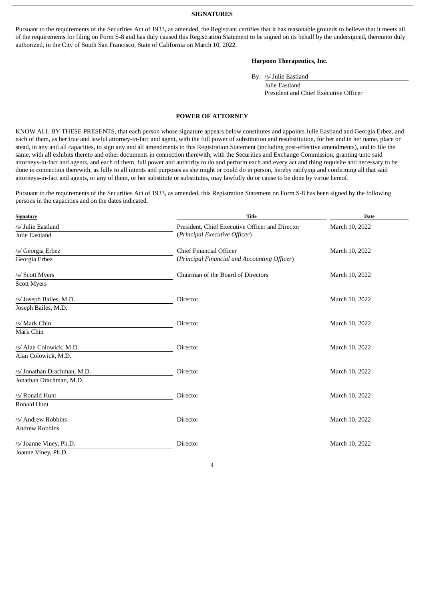### **SIGNATURES**

<span id="page-3-0"></span>Pursuant to the requirements of the Securities Act of 1933, as amended, the Registrant certifies that it has reasonable grounds to believe that it meets all of the requirements for filing on Form S-8 and has duly caused this Registration Statement to be signed on its behalf by the undersigned, thereunto duly authorized, in the City of South San Francisco, State of California on March 10, 2022.

# **Harpoon Therapeutics, Inc.**

By: /s/ Julie Eastland

Julie Eastland President and Chief Executive Officer

### **POWER OF ATTORNEY**

KNOW ALL BY THESE PRESENTS, that each person whose signature appears below constitutes and appoints Julie Eastland and Georgia Erbez, and each of them, as her true and lawful attorney-in-fact and agent, with the full power of substitution and resubstitution, for her and in her name, place or stead, in any and all capacities, to sign any and all amendments to this Registration Statement (including post-effective amendments), and to file the same, with all exhibits thereto and other documents in connection therewith, with the Securities and Exchange Commission, granting unto said attorneys-in-fact and agents, and each of them, full power and authority to do and perform each and every act and thing requisite and necessary to be done in connection therewith, as fully to all intents and purposes as she might or could do in person, hereby ratifying and confirming all that said attorneys-in-fact and agents, or any of them, or her substitute or substitutes, may lawfully do or cause to be done by virtue hereof.

Pursuant to the requirements of the Securities Act of 1933, as amended, this Registration Statement on Form S-8 has been signed by the following persons in the capacities and on the dates indicated.

| Signature                   | <b>Title</b>                                    | <b>Date</b>    |
|-----------------------------|-------------------------------------------------|----------------|
| /s/ Julie Eastland          | President, Chief Executive Officer and Director | March 10, 2022 |
| Julie Eastland              | (Principal Executive Officer)                   |                |
| /s/ Georgia Erbez           | Chief Financial Officer                         | March 10, 2022 |
| Georgia Erbez               | (Principal Financial and Accounting Officer)    |                |
| /s/ Scott Myers             | Chairman of the Board of Directors              | March 10, 2022 |
| <b>Scott Myers</b>          |                                                 |                |
| /s/ Joseph Bailes, M.D.     | Director                                        | March 10, 2022 |
| Joseph Bailes, M.D.         |                                                 |                |
| /s/ Mark Chin               | Director                                        | March 10, 2022 |
| Mark Chin                   |                                                 |                |
| /s/ Alan Colowick, M.D.     | Director                                        | March 10, 2022 |
| Alan Colowick, M.D.         |                                                 |                |
| /s/ Jonathan Drachman, M.D. | Director                                        | March 10, 2022 |
| Jonathan Drachman, M.D.     |                                                 |                |
| /s/ Ronald Hunt             | Director                                        | March 10, 2022 |
| Ronald Hunt                 |                                                 |                |
| /s/ Andrew Robbins          | Director                                        | March 10, 2022 |
| <b>Andrew Robbins</b>       |                                                 |                |
| /s/ Joanne Viney, Ph.D.     | Director                                        | March 10, 2022 |
| Joanne Viney, Ph.D.         |                                                 |                |

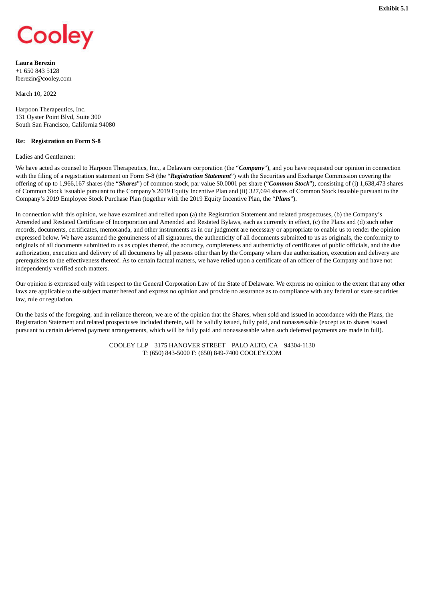# <span id="page-4-0"></span>Cooley

**Laura Berezin** +1 650 843 5128 lberezin@cooley.com

March 10, 2022

Harpoon Therapeutics, Inc. 131 Oyster Point Blvd, Suite 300 South San Francisco, California 94080

# **Re: Registration on Form S-8**

# Ladies and Gentlemen:

We have acted as counsel to Harpoon Therapeutics, Inc., a Delaware corporation (the "*Company*"), and you have requested our opinion in connection with the filing of a registration statement on Form S-8 (the "*Registration Statement*") with the Securities and Exchange Commission covering the offering of up to 1,966,167 shares (the "*Shares*") of common stock, par value \$0.0001 per share ("*Common Stock*"), consisting of (i) 1,638,473 shares of Common Stock issuable pursuant to the Company's 2019 Equity Incentive Plan and (ii) 327,694 shares of Common Stock issuable pursuant to the Company's 2019 Employee Stock Purchase Plan (together with the 2019 Equity Incentive Plan, the "*Plans*").

In connection with this opinion, we have examined and relied upon (a) the Registration Statement and related prospectuses, (b) the Company's Amended and Restated Certificate of Incorporation and Amended and Restated Bylaws, each as currently in effect, (c) the Plans and (d) such other records, documents, certificates, memoranda, and other instruments as in our judgment are necessary or appropriate to enable us to render the opinion expressed below. We have assumed the genuineness of all signatures, the authenticity of all documents submitted to us as originals, the conformity to originals of all documents submitted to us as copies thereof, the accuracy, completeness and authenticity of certificates of public officials, and the due authorization, execution and delivery of all documents by all persons other than by the Company where due authorization, execution and delivery are prerequisites to the effectiveness thereof. As to certain factual matters, we have relied upon a certificate of an officer of the Company and have not independently verified such matters.

Our opinion is expressed only with respect to the General Corporation Law of the State of Delaware. We express no opinion to the extent that any other laws are applicable to the subject matter hereof and express no opinion and provide no assurance as to compliance with any federal or state securities law, rule or regulation.

On the basis of the foregoing, and in reliance thereon, we are of the opinion that the Shares, when sold and issued in accordance with the Plans, the Registration Statement and related prospectuses included therein, will be validly issued, fully paid, and nonassessable (except as to shares issued pursuant to certain deferred payment arrangements, which will be fully paid and nonassessable when such deferred payments are made in full).

> COOLEY LLP 3175 HANOVER STREET PALO ALTO, CA 94304-1130 T: (650) 843-5000 F: (650) 849-7400 COOLEY.COM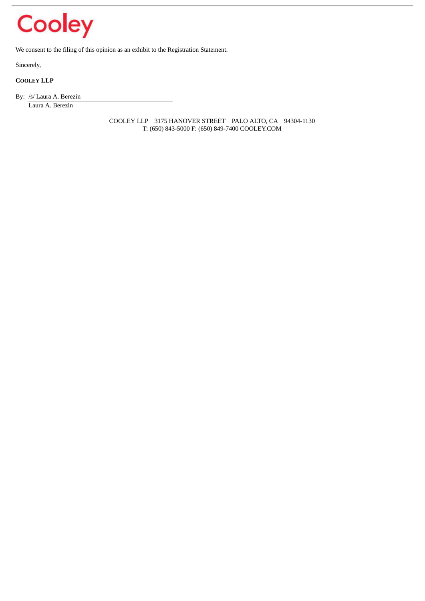# Cooley

We consent to the filing of this opinion as an exhibit to the Registration Statement.

Sincerely,

# **COOLEY LLP**

By: /s/ Laura A. Berezin

Laura A. Berezin

COOLEY LLP 3175 HANOVER STREET PALO ALTO, CA 94304-1130 T: (650) 843-5000 F: (650) 849-7400 COOLEY.COM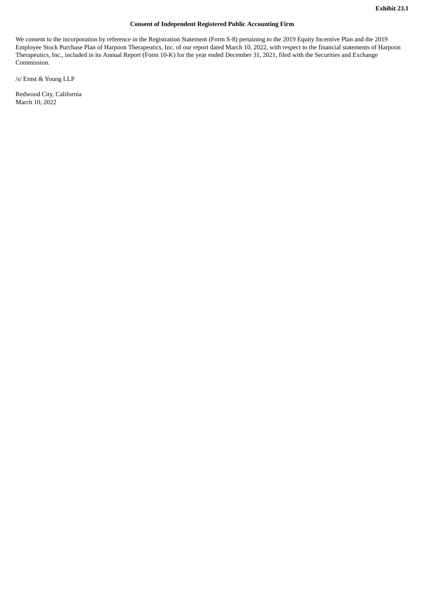# **Consent of Independent Registered Public Accounting Firm**

<span id="page-6-0"></span>We consent to the incorporation by reference in the Registration Statement (Form S-8) pertaining to the 2019 Equity Incentive Plan and the 2019 Employee Stock Purchase Plan of Harpoon Therapeutics, Inc. of our report dated March 10, 2022, with respect to the financial statements of Harpoon Therapeutics, Inc., included in its Annual Report (Form 10-K) for the year ended December 31, 2021, filed with the Securities and Exchange Commission.

/s/ Ernst & Young LLP

Redwood City, California March 10, 2022